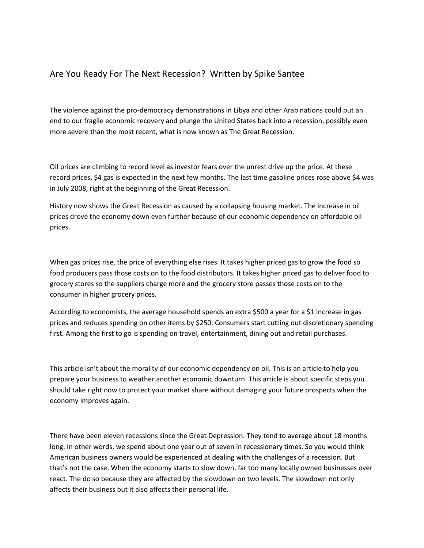## Are You Ready For The Next Recession? Written by Spike Santee

The violence against the pro-democracy demonstrations in Libya and other Arab nations could put an end to our fragile economic recovery and plunge the United States back into a recession, possibly even more severe than the most recent, what is now known as The Great Recession.

Oil prices are climbing to record level as investor fears over the unrest drive up the price. At these record prices, \$4 gas is expected in the next few months. The last time gasoline prices rose above \$4 was in July 2008, right at the beginning of the Great Recession.

History now shows the Great Recession as caused by a collapsing housing market. The increase in oil prices drove the economy down even further because of our economic dependency on affordable oil prices.

When gas prices rise, the price of everything else rises. It takes higher priced gas to grow the food so food producers pass those costs on to the food distributors. It takes higher priced gas to deliver food to grocery stores so the suppliers charge more and the grocery store passes those costs on to the consumer in higher grocery prices.

According to economists, the average household spends an extra \$500 a year for a \$1 increase in gas prices and reduces spending on other items by \$250. Consumers start cutting out discretionary spending first. Among the first to go is spending on travel, entertainment, dining out and retail purchases.

This article isn't about the morality of our economic dependency on oil. This is an article to help you prepare your business to weather another economic downturn. This article is about specific steps you should take right now to protect your market share without damaging your future prospects when the economy improves again.

There have been eleven recessions since the Great Depression. They tend to average about 18 months long. In other words, we spend about one year out of seven in recessionary times. So you would think American business owners would be experienced at dealing with the challenges of a recession. But that's not the case. When the economy starts to slow down, far too many locally owned businesses over react. The do so because they are affected by the slowdown on two levels. The slowdown not only affects their business but it also affects their personal life.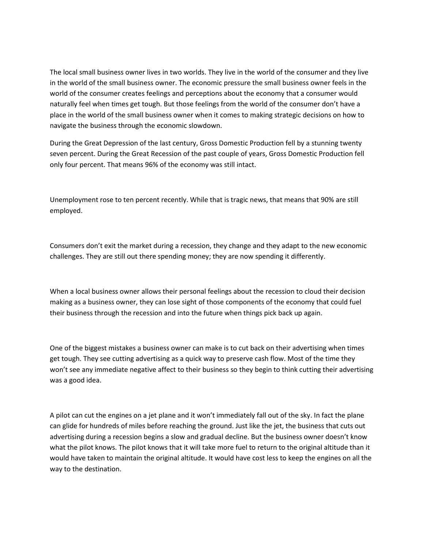The local small business owner lives in two worlds. They live in the world of the consumer and they live in the world of the small business owner. The economic pressure the small business owner feels in the world of the consumer creates feelings and perceptions about the economy that a consumer would naturally feel when times get tough. But those feelings from the world of the consumer don't have a place in the world of the small business owner when it comes to making strategic decisions on how to navigate the business through the economic slowdown.

During the Great Depression of the last century, Gross Domestic Production fell by a stunning twenty seven percent. During the Great Recession of the past couple of years, Gross Domestic Production fell only four percent. That means 96% of the economy was still intact.

Unemployment rose to ten percent recently. While that is tragic news, that means that 90% are still employed.

Consumers don't exit the market during a recession, they change and they adapt to the new economic challenges. They are still out there spending money; they are now spending it differently.

When a local business owner allows their personal feelings about the recession to cloud their decision making as a business owner, they can lose sight of those components of the economy that could fuel their business through the recession and into the future when things pick back up again.

One of the biggest mistakes a business owner can make is to cut back on their advertising when times get tough. They see cutting advertising as a quick way to preserve cash flow. Most of the time they won't see any immediate negative affect to their business so they begin to think cutting their advertising was a good idea.

A pilot can cut the engines on a jet plane and it won't immediately fall out of the sky. In fact the plane can glide for hundreds of miles before reaching the ground. Just like the jet, the business that cuts out advertising during a recession begins a slow and gradual decline. But the business owner doesn't know what the pilot knows. The pilot knows that it will take more fuel to return to the original altitude than it would have taken to maintain the original altitude. It would have cost less to keep the engines on all the way to the destination.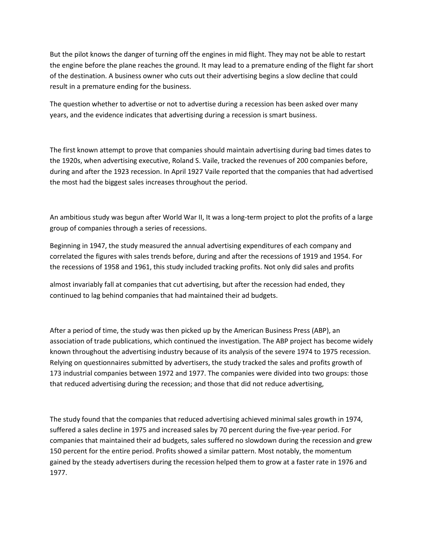But the pilot knows the danger of turning off the engines in mid flight. They may not be able to restart the engine before the plane reaches the ground. It may lead to a premature ending of the flight far short of the destination. A business owner who cuts out their advertising begins a slow decline that could result in a premature ending for the business.

The question whether to advertise or not to advertise during a recession has been asked over many years, and the evidence indicates that advertising during a recession is smart business.

The first known attempt to prove that companies should maintain advertising during bad times dates to the 1920s, when advertising executive, Roland S. Vaile, tracked the revenues of 200 companies before, during and after the 1923 recession. In April 1927 Vaile reported that the companies that had advertised the most had the biggest sales increases throughout the period.

An ambitious study was begun after World War II, It was a long-term project to plot the profits of a large group of companies through a series of recessions.

Beginning in 1947, the study measured the annual advertising expenditures of each company and correlated the figures with sales trends before, during and after the recessions of 1919 and 1954. For the recessions of 1958 and 1961, this study included tracking profits. Not only did sales and profits

almost invariably fall at companies that cut advertising, but after the recession had ended, they continued to lag behind companies that had maintained their ad budgets.

After a period of time, the study was then picked up by the American Business Press (ABP), an association of trade publications, which continued the investigation. The ABP project has become widely known throughout the advertising industry because of its analysis of the severe 1974 to 1975 recession. Relying on questionnaires submitted by advertisers, the study tracked the sales and profits growth of 173 industrial companies between 1972 and 1977. The companies were divided into two groups: those that reduced advertising during the recession; and those that did not reduce advertising,

The study found that the companies that reduced advertising achieved minimal sales growth in 1974, suffered a sales decline in 1975 and increased sales by 70 percent during the five-year period. For companies that maintained their ad budgets, sales suffered no slowdown during the recession and grew 150 percent for the entire period. Profits showed a similar pattern. Most notably, the momentum gained by the steady advertisers during the recession helped them to grow at a faster rate in 1976 and 1977.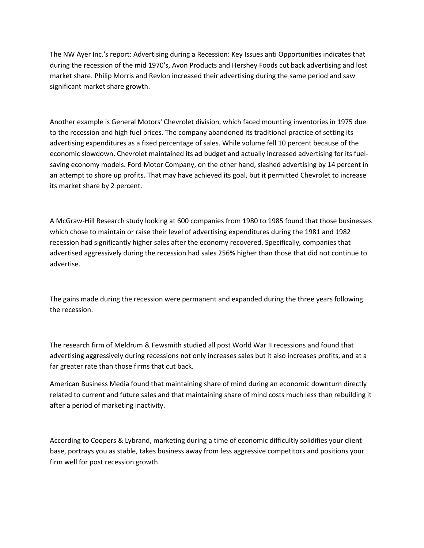The NW Ayer Inc.'s report: Advertising during a Recession: Key Issues anti Opportunities indicates that during the recession of the mid 1970's, Avon Products and Hershey Foods cut back advertising and lost market share. Philip Morris and Revlon increased their advertising during the same period and saw significant market share growth.

Another example is General Motors' Chevrolet division, which faced mounting inventories in 1975 due to the recession and high fuel prices. The company abandoned its traditional practice of setting its advertising expenditures as a fixed percentage of sales. While volume fell 10 percent because of the economic slowdown, Chevrolet maintained its ad budget and actually increased advertising for its fuelsaving economy models. Ford Motor Company, on the other hand, slashed advertising by 14 percent in an attempt to shore up profits. That may have achieved its goal, but it permitted Chevrolet to increase its market share by 2 percent.

A McGraw-Hill Research study looking at 600 companies from 1980 to 1985 found that those businesses which chose to maintain or raise their level of advertising expenditures during the 1981 and 1982 recession had significantly higher sales after the economy recovered. Specifically, companies that advertised aggressively during the recession had sales 256% higher than those that did not continue to advertise.

The gains made during the recession were permanent and expanded during the three years following the recession.

The research firm of Meldrum & Fewsmith studied all post World War II recessions and found that advertising aggressively during recessions not only increases sales but it also increases profits, and at a far greater rate than those firms that cut back.

American Business Media found that maintaining share of mind during an economic downturn directly related to current and future sales and that maintaining share of mind costs much less than rebuilding it after a period of marketing inactivity.

According to Coopers & Lybrand, marketing during a time of economic difficultly solidifies your client base, portrays you as stable, takes business away from less aggressive competitors and positions your firm well for post recession growth.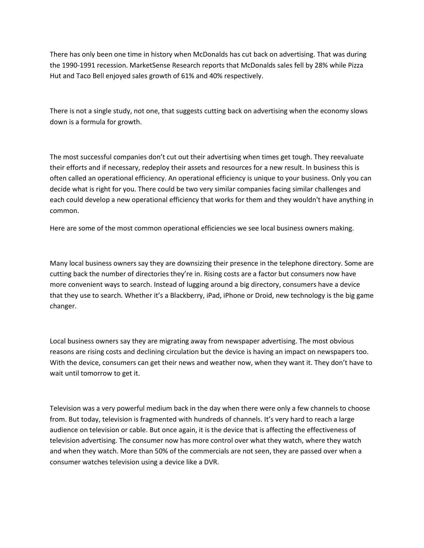There has only been one time in history when McDonalds has cut back on advertising. That was during the 1990-1991 recession. MarketSense Research reports that McDonalds sales fell by 28% while Pizza Hut and Taco Bell enjoyed sales growth of 61% and 40% respectively.

There is not a single study, not one, that suggests cutting back on advertising when the economy slows down is a formula for growth.

The most successful companies don't cut out their advertising when times get tough. They reevaluate their efforts and if necessary, redeploy their assets and resources for a new result. In business this is often called an operational efficiency. An operational efficiency is unique to your business. Only you can decide what is right for you. There could be two very similar companies facing similar challenges and each could develop a new operational efficiency that works for them and they wouldn't have anything in common.

Here are some of the most common operational efficiencies we see local business owners making.

Many local business owners say they are downsizing their presence in the telephone directory. Some are cutting back the number of directories they're in. Rising costs are a factor but consumers now have more convenient ways to search. Instead of lugging around a big directory, consumers have a device that they use to search. Whether it's a Blackberry, iPad, iPhone or Droid, new technology is the big game changer.

Local business owners say they are migrating away from newspaper advertising. The most obvious reasons are rising costs and declining circulation but the device is having an impact on newspapers too. With the device, consumers can get their news and weather now, when they want it. They don't have to wait until tomorrow to get it.

Television was a very powerful medium back in the day when there were only a few channels to choose from. But today, television is fragmented with hundreds of channels. It's very hard to reach a large audience on television or cable. But once again, it is the device that is affecting the effectiveness of television advertising. The consumer now has more control over what they watch, where they watch and when they watch. More than 50% of the commercials are not seen, they are passed over when a consumer watches television using a device like a DVR.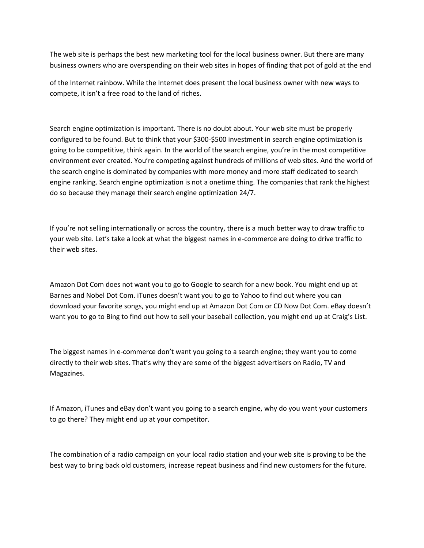The web site is perhaps the best new marketing tool for the local business owner. But there are many business owners who are overspending on their web sites in hopes of finding that pot of gold at the end

of the Internet rainbow. While the Internet does present the local business owner with new ways to compete, it isn't a free road to the land of riches.

Search engine optimization is important. There is no doubt about. Your web site must be properly configured to be found. But to think that your \$300-\$500 investment in search engine optimization is going to be competitive, think again. In the world of the search engine, you're in the most competitive environment ever created. You're competing against hundreds of millions of web sites. And the world of the search engine is dominated by companies with more money and more staff dedicated to search engine ranking. Search engine optimization is not a onetime thing. The companies that rank the highest do so because they manage their search engine optimization 24/7.

If you're not selling internationally or across the country, there is a much better way to draw traffic to your web site. Let's take a look at what the biggest names in e-commerce are doing to drive traffic to their web sites.

Amazon Dot Com does not want you to go to Google to search for a new book. You might end up at Barnes and Nobel Dot Com. iTunes doesn't want you to go to Yahoo to find out where you can download your favorite songs, you might end up at Amazon Dot Com or CD Now Dot Com. eBay doesn't want you to go to Bing to find out how to sell your baseball collection, you might end up at Craig's List.

The biggest names in e-commerce don't want you going to a search engine; they want you to come directly to their web sites. That's why they are some of the biggest advertisers on Radio, TV and Magazines.

If Amazon, iTunes and eBay don't want you going to a search engine, why do you want your customers to go there? They might end up at your competitor.

The combination of a radio campaign on your local radio station and your web site is proving to be the best way to bring back old customers, increase repeat business and find new customers for the future.